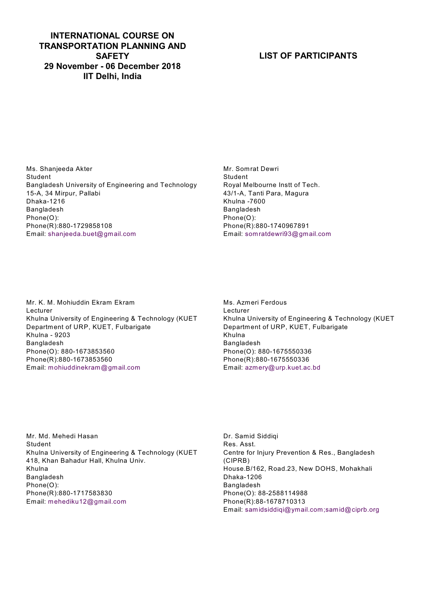#### **INTERNATIONAL COURSE ON TRANSPORTATION PLANNING AND SAFETY 29 November - 06 December 2018 IIT Delhi, India**

## **LIST OF PARTICIPANTS**

Ms. Shanjeeda Akter Student Bangladesh University of Engineering and Technology 15-A, 34 Mirpur, Pallabi Dhaka-1216 Bangladesh Phone(O): Phone(R):880-1729858108 Email: shanjeeda.buet@gmail.com

Mr. Somrat Dewri Student Royal Melbourne Instt of Tech. 43/1-A, Tanti Para, Magura Khulna -7600 Bangladesh Phone(O): Phone(R):880-1740967891 Email: somratdewri93@gmail.com

Mr. K. M. Mohiuddin Ekram Ekram Lecturer Khulna University of Engineering & Technology (KUET Department of URP, KUET, Fulbarigate Khulna - 9203 Bangladesh Phone(O): 880-1673853560 Phone(R):880-1673853560 Email: mohiuddinekram@gmail.com

Ms. Azmeri Ferdous Lecturer Khulna University of Engineering & Technology (KUET Department of URP, KUET, Fulbarigate Khulna Bangladesh Phone(O): 880-1675550336 Phone(R):880-1675550336 Email: azmery@urp.kuet.ac.bd

Mr. Md. Mehedi Hasan Student Khulna University of Engineering & Technology (KUET 418, Khan Bahadur Hall, Khulna Univ. Khulna Bangladesh Phone(O): Phone(R):880-1717583830 Email: mehediku12@gmail.com

Dr. Samid Siddiqi Res. Asst. Centre for Injury Prevention & Res., Bangladesh (CIPRB) House.B/162, Road.23, New DOHS, Mohakhali Dhaka-1206 Bangladesh Phone(O): 88-2588114988 Phone(R):88-1678710313 Email: samidsiddiqi@ymail.com;samid@ciprb.org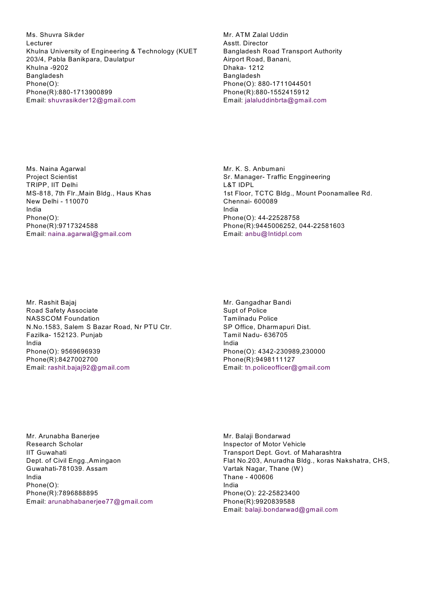Ms. Shuvra Sikder Lecturer Khulna University of Engineering & Technology (KUET 203/4, Pabla Banikpara, Daulatpur Khulna -9202 Bangladesh Phone(O): Phone(R):880-1713900899 Email: shuvrasikder12@gmail.com

Mr. ATM Zalal Uddin Asstt. Director Bangladesh Road Transport Authority Airport Road, Banani, Dhaka- 1212 Bangladesh Phone(O): 880-1711044501 Phone(R):880-1552415912 Email: jalaluddinbrta@gmail.com

Ms. Naina Agarwal Project Scientist TRIPP, IIT Delhi MS-818, 7th Flr.,Main Bldg., Haus Khas New Delhi - 110070 India Phone(O): Phone(R):9717324588 Email: naina.agarwal@gmail.com

Mr. K. S. Anbumani Sr. Manager- Traffic Enggineering L&T IDPL 1st Floor, TCTC Bldg., Mount Poonamallee Rd. Chennai- 600089 India Phone(O): 44-22528758 Phone(R):9445006252, 044-22581603 Email: anbu@Intidpl.com

Mr. Rashit Bajaj Road Safety Associate NASSCOM Foundation N.No.1583, Salem S Bazar Road, Nr PTU Ctr. Fazilka- 152123. Punjab India Phone(O): 9569696939 Phone(R):8427002700 Email: rashit.bajaj92@gmail.com

Mr. Gangadhar Bandi Supt of Police Tamilnadu Police SP Office, Dharmapuri Dist. Tamil Nadu- 636705 India Phone(O): 4342-230989,230000 Phone(R):9498111127 Email: tn.policeofficer@gmail.com

Mr. Arunabha Banerjee Research Scholar IIT Guwahati Dept. of Civil Engg.,Amingaon Guwahati-781039. Assam India Phone(O): Phone(R):7896888895 Email: arunabhabanerjee77@gmail.com Mr. Balaji Bondarwad Inspector of Motor Vehicle Transport Dept. Govt. of Maharashtra Flat No.203, Anuradha Bldg., koras Nakshatra, CHS, Vartak Nagar, Thane (W) Thane - 400606 India Phone(O): 22-25823400 Phone(R):9920839588 Email: balaji.bondarwad@gmail.com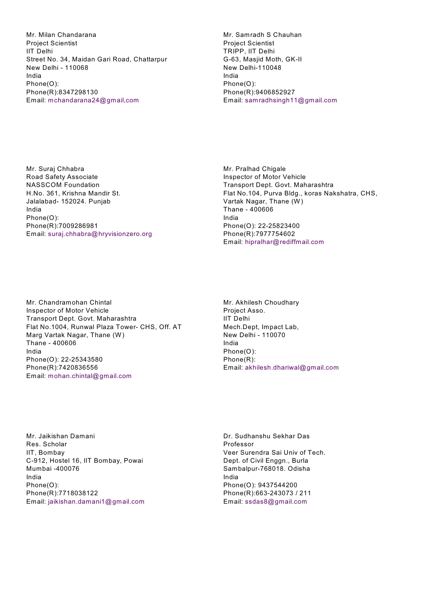Mr. Milan Chandarana Project Scientist IIT Delhi Street No. 34, Maidan Gari Road, Chattarpur New Delhi - 110068 India Phone(O): Phone(R):8347298130 Email: mchandarana24@gmail,com

Mr. Samradh S Chauhan Project Scientist TRIPP, IIT Delhi G-63, Masjid Moth, GK-II New Delhi-110048 India Phone(O): Phone(R):9406852927 Email: samradhsingh11@gmail.com

Mr. Suraj Chhabra Road Safety Associate NASSCOM Foundation H.No. 361, Krishna Mandir St. Jalalabad- 152024. Punjab India Phone(O): Phone(R):7009286981 Email: suraj.chhabra@hryvisionzero.org Mr. Pralhad Chigale Inspector of Motor Vehicle Transport Dept. Govt. Maharashtra Flat No.104, Purva Bldg., koras Nakshatra, CHS, Vartak Nagar, Thane (W) Thane - 400606 India Phone(O): 22-25823400 Phone(R):7977754602 Email: hipralhar@rediffmail.com

Mr. Chandramohan Chintal Inspector of Motor Vehicle Transport Dept. Govt. Maharashtra Flat No.1004, Runwal Plaza Tower- CHS, Off. AT Marg Vartak Nagar, Thane (W) Thane - 400606 India Phone(O): 22-25343580 Phone(R):7420836556 Email: mohan.chintal@gmail.com

Mr. Akhilesh Choudhary Project Asso. IIT Delhi Mech.Dept, Impact Lab, New Delhi - 110070 India Phone(O): Phone(R): Email: akhilesh.dhariwal@gmail.com

Mr. Jaikishan Damani Res. Scholar IIT, Bombay C-912, Hostel 16, IIT Bombay, Powai Mumbai -400076 India Phone(O): Phone(R):7718038122 Email: jaikishan.damani1@gmail.com Dr. Sudhanshu Sekhar Das Professor Veer Surendra Sai Univ of Tech. Dept. of Civil Enggn., Burla Sambalpur-768018. Odisha India Phone(O): 9437544200 Phone(R):663-243073 / 211 Email: ssdas8@gmail.com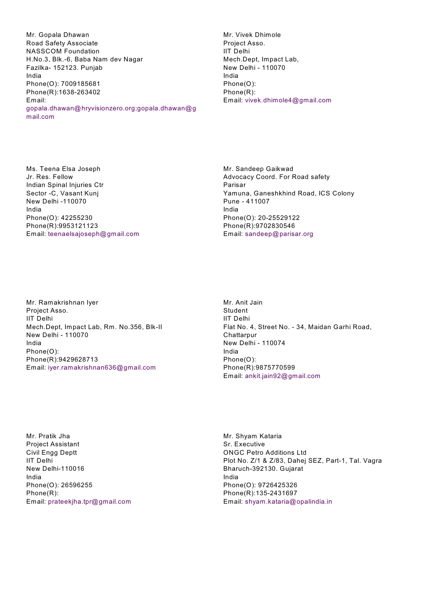Mr. Gopala Dhawan Road Safety Associate NASSCOM Foundation H.No.3, Blk.-6, Baba Nam dev Nagar Fazilka- 152123. Punjab India Phone(O): 7009185681 Phone(R):1638-263402 Email: gopala.dhawan@hryvisionzero.org;gopala.dhawan@g mail.com

Mr. Vivek Dhimole Project Asso. IIT Delhi Mech.Dept, Impact Lab, New Delhi - 110070 India Phone(O): Phone(R): Email: vivek.dhimole4@gmail.com

Ms. Teena Elsa Joseph Jr. Res. Fellow Indian Spinal Injuries Ctr Sector -C, Vasant Kunj New Delhi -110070 India Phone(O): 42255230 Phone(R):9953121123 Email: teenaelsajoseph@gmail.com Mr. Sandeep Gaikwad Advocacy Coord. For Road safety Parisar Yamuna, Ganeshkhind Road, ICS Colony Pune - 411007 India Phone(O): 20-25529122 Phone(R):9702830546 Email: sandeep@parisar.org

Mr. Ramakrishnan Iyer Project Asso. IIT Delhi Mech.Dept, Impact Lab, Rm. No.356, Blk-II New Delhi - 110070 India Phone(O): Phone(R):9429628713 Email: iyer.ramakrishnan636@gmail.com

Mr. Anit Jain Student IIT Delhi Flat No. 4, Street No. - 34, Maidan Garhi Road, **Chattarpur** New Delhi - 110074 India Phone(O): Phone(R):9875770599 Email: ankit.jain92@gmail.com

Mr. Pratik Jha Project Assistant Civil Engg Deptt IIT Delhi New Delhi-110016 India Phone(O): 26596255 Phone(R): Email: prateekjha.tpr@gmail.com

Mr. Shyam Kataria Sr. Executive ONGC Petro Additions Ltd Plot No. Z/1 & Z/83, Dahej SEZ, Part-1, Tal. Vagra Bharuch-392130. Gujarat India Phone(O): 9726425326 Phone(R):135-2431697 Email: shyam.kataria@opalindia.in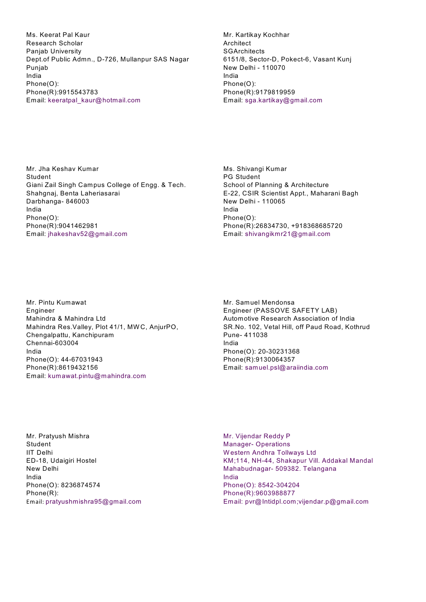Ms. Keerat Pal Kaur Research Scholar Panjab University Dept.of Public Admn., D-726, Mullanpur SAS Nagar Punjab India Phone(O): Phone(R):9915543783 Email: keeratpal\_kaur@hotmail.com

Mr. Kartikay Kochhar Architect **SGArchitects** 6151/8, Sector-D, Pokect-6, Vasant Kunj New Delhi - 110070 India Phone(O): Phone(R):9179819959 Email: sga.kartikay@gmail.com

Mr. Jha Keshav Kumar Student Giani Zail Singh Campus College of Engg. & Tech. Shahgnaj, Benta Laheriasarai Darbhanga- 846003 India Phone(O): Phone(R):9041462981 Email: jhakeshav52@gmail.com

Ms. Shivangi Kumar PG Student School of Planning & Architecture E-22, CSIR Scientist Appt., Maharani Bagh New Delhi - 110065 India Phone(O): Phone(R):26834730, +918368685720 Email: shivangikmr21@gmail.com

Mr. Pintu Kumawat Engineer Mahindra & Mahindra Ltd Mahindra Res.Valley, Plot 41/1, MW C, AnjurPO, Chengalpattu, Kanchipuram Chennai-603004 India Phone(O): 44-67031943 Phone(R):8619432156 Email: kumawat.pintu@mahindra.com

Mr. Samuel Mendonsa Engineer (PASSOVE SAFETY LAB) Automotive Research Association of India SR.No. 102, Vetal Hill, off Paud Road, Kothrud Pune- 411038 India Phone(O): 20-30231368 Phone(R):9130064357 Email: samuel.psl@araiindia.com

Mr. Pratyush Mishra Student IIT Delhi ED-18, Udaigiri Hostel New Delhi India Phone(O): 8236874574 Phone(R): Email: pratyushmishra95@gmail.com Mr. Vijendar Reddy P Manager- Operations W estern Andhra Tollways Ltd KM;114, NH-44, Shakapur Vill. Addakal Mandal Mahabudnagar- 509382. Telangana India Phone(O): 8542-304204 Phone(R):9603988877 Email: pvr@Intidpl.com;vijendar.p@gmail.com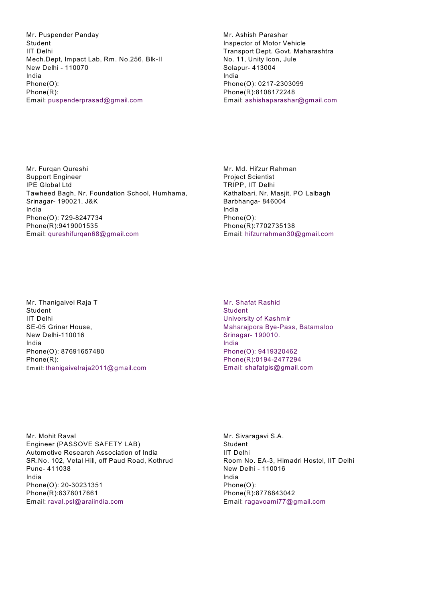Mr. Puspender Panday Student IIT Delhi Mech.Dept, Impact Lab, Rm. No.256, Blk-II New Delhi - 110070 India Phone(O): Phone(R): Email: puspenderprasad@gmail.com

Mr. Ashish Parashar Inspector of Motor Vehicle Transport Dept. Govt. Maharashtra No. 11, Unity Icon, Jule Solapur- 413004 India Phone(O): 0217-2303099 Phone(R):8108172248 Email: ashishaparashar@gmail.com

Mr. Furqan Qureshi Support Engineer IPE Global Ltd Tawheed Bagh, Nr. Foundation School, Humhama, Srinagar- 190021. J&K India Phone(O): 729-8247734 Phone(R):9419001535 Email: qureshifurqan68@gmail.com

Mr. Md. Hifzur Rahman Project Scientist TRIPP, IIT Delhi Kathalbari, Nr. Masjit, PO Lalbagh Barbhanga- 846004 India Phone(O): Phone(R):7702735138 Email: hifzurrahman30@gmail.com

Mr. Thanigaivel Raja T **Student** IIT Delhi SE-05 Grinar House, New Delhi-110016 India Phone(O): 87691657480 Phone(R): Email: thanigaivelraja2011@gmail.com Mr. Shafat Rashid **Student** University of Kashmir Maharajpora Bye-Pass, Batamaloo Srinagar- 190010. India Phone(O): 9419320462 Phone(R):0194-2477294 Email: shafatgis@gmail.com

Mr. Mohit Raval Engineer (PASSOVE SAFETY LAB) Automotive Research Association of India SR.No. 102, Vetal Hill, off Paud Road, Kothrud Pune- 411038 India Phone(O): 20-30231351 Phone(R):8378017661 Email: raval.psl@araiindia.com

Mr. Sivaragavi S.A. Student IIT Delhi Room No. EA-3, Himadri Hostel, IIT Delhi New Delhi - 110016 India Phone(O): Phone(R):8778843042 Email: ragavoami77@gmail.com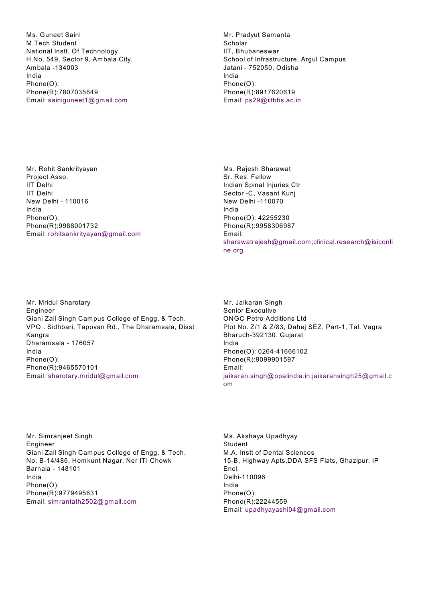Ms. Guneet Saini M.Tech Student National Instt. Of Technology H.No. 549, Sector 9, Ambala City. Ambala -134003 India Phone(O): Phone(R):7807035649 Email: sainiguneet1@gmail.com

Mr. Pradyut Samanta Scholar IIT, Bhubaneswar School of Infrastructure, Argul Campus Jatani - 752050, Odisha India Phone(O): Phone(R):8917620619 Email: ps29@iitbbs.ac.in

Mr. Rohit Sankrityayan Project Asso. IIT Delhi IIT Delhi New Delhi - 110016 India Phone(O): Phone(R):9988001732 Email: rohitsankrityayan@gmail.com Ms. Rajesh Sharawat Sr. Res. Fellow Indian Spinal Injuries Ctr Sector -C, Vasant Kunj New Delhi -110070 India Phone(O): 42255230 Phone(R):9958306987 Email: sharawatrajesh@gmail.com;clinical.research@isiconli ne.org

Mr. Mridul Sharotary Engineer Giani Zail Singh Campus College of Engg. & Tech. VPO . Sidhbari, Tapovan Rd., The Dharamsala, Disst Kangra Dharamsala - 176057 India Phone(O): Phone(R):9465570101 Email: sharotary.mridul@gmail.com

Mr. Jaikaran Singh Senior Executive ONGC Petro Additions Ltd Plot No. Z/1 & Z/83, Dahej SEZ, Part-1, Tal. Vagra Bharuch-392130. Gujarat India Phone(O): 0264-41666102 Phone(R):9099901597 Email: jaikaran.singh@opalindia.in;jaikaransingh25@gmail.c om

Mr. Simranjeet Singh Engineer Giani Zail Singh Campus College of Engg. & Tech. No. B-14/486, Hemkunt Nagar, Ner ITI Chowk Barnala - 148101 India Phone(O): Phone(R):9779495631 Email: simrantath2502@gmail.com

Ms. Akshaya Upadhyay Student M.A. Instt of Dental Sciences 15-B, Highway Apts,DDA SFS Flats, Ghazipur, IP Encl. Delhi-110096 India Phone(O): Phone(R):22244559 Email: upadhyayashi04@gmail.com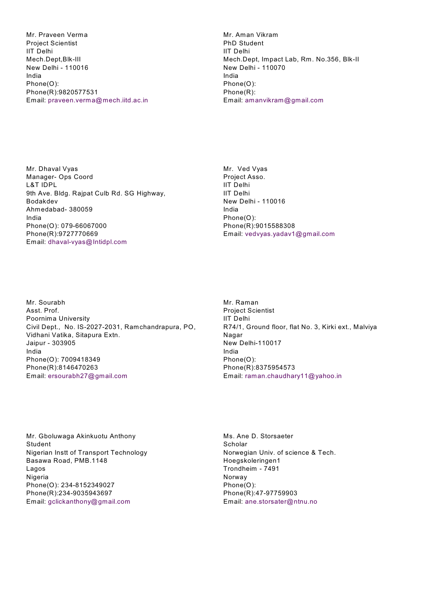Mr. Praveen Verma Project Scientist IIT Delhi Mech.Dept,Blk-III New Delhi - 110016 India Phone(O): Phone(R):9820577531 Email: praveen.verma@mech.iitd.ac.in Mr. Aman Vikram PhD Student IIT Delhi Mech.Dept, Impact Lab, Rm. No.356, Blk-II New Delhi - 110070 India Phone(O): Phone(R): Email: amanvikram@gmail.com

Mr. Dhaval Vyas Manager- Ops Coord L&T IDPL 9th Ave. Bldg. Rajpat Culb Rd. SG Highway, Bodakdev Ahmedabad- 380059 India Phone(O): 079-66067000 Phone(R):9727770669 Email: dhaval-vyas@Intidpl.com

Mr. Ved Vyas Project Asso. IIT Delhi IIT Delhi New Delhi - 110016 India Phone(O): Phone(R):9015588308 Email: vedvyas.yadav1@gmail.com

Mr. Sourabh Asst. Prof. Poornima University Civil Dept., No. IS-2027-2031, Ramchandrapura, PO, Vidhani Vatika, Sitapura Extn. Jaipur - 303905 India Phone(O): 7009418349 Phone(R):8146470263 Email: ersourabh27@gmail.com

Mr. Raman Project Scientist IIT Delhi R74/1, Ground floor, flat No. 3, Kirki ext., Malviya Nagar New Delhi-110017 India Phone(O): Phone(R):8375954573 Email: raman.chaudhary11@yahoo.in

Mr. Gboluwaga Akinkuotu Anthony Student Nigerian Instt of Transport Technology Basawa Road, PMB.1148 Lagos Nigeria Phone(O): 234-8152349027 Phone(R):234-9035943697 Email: gclickanthony@gmail.com

Ms. Ane D. Storsaeter Scholar Norwegian Univ. of science & Tech. Hoegskoleringen1 Trondheim - 7491 Norway Phone(O): Phone(R):47-97759903 Email: ane.storsater@ntnu.no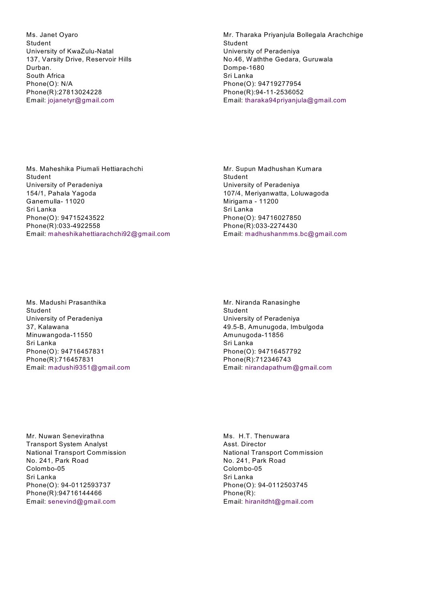Ms. Janet Oyaro Student University of KwaZulu-Natal 137, Varsity Drive, Reservoir Hills Durban. South Africa Phone(O): N/A Phone(R):27813024228 Email: jojanetyr@gmail.com

Mr. Tharaka Priyanjula Bollegala Arachchige Student University of Peradeniya No.46, W aththe Gedara, Guruwala Dompe-1680 Sri Lanka Phone(O): 94719277954 Phone(R):94-11-2536052 Email: tharaka94priyanjula@gmail.com

Ms. Maheshika Piumali Hettiarachchi Student University of Peradeniya 154/1, Pahala Yagoda Ganemulla- 11020 Sri Lanka Phone(O): 94715243522 Phone(R):033-4922558 Email: maheshikahettiarachchi92@gmail.com Mr. Supun Madhushan Kumara Student University of Peradeniya 107/4, Meriyanwatta, Loluwagoda Mirigama - 11200 Sri Lanka Phone(O): 94716027850 Phone(R):033-2274430 Email: madhushanmms.bc@gmail.com

Ms. Madushi Prasanthika Student University of Peradeniya 37, Kalawana Minuwangoda-11550 Sri Lanka Phone(O): 94716457831 Phone(R):716457831 Email: madushi9351@gmail.com Mr. Niranda Ranasinghe Student University of Peradeniya 49.5-B, Amunugoda, Imbulgoda Amunugoda-11856 Sri Lanka Phone(O): 94716457792 Phone(R):712346743 Email: nirandapathum@gmail.com

Mr. Nuwan Senevirathna Transport System Analyst National Transport Commission No. 241, Park Road Colombo-05 Sri Lanka Phone(O): 94-0112593737 Phone(R):94716144466 Email: senevind@gmail.com

Ms. H.T. Thenuwara Asst. Director National Transport Commission No. 241, Park Road Colombo-05 Sri Lanka Phone(O): 94-0112503745 Phone(R): Email: hiranitdht@gmail.com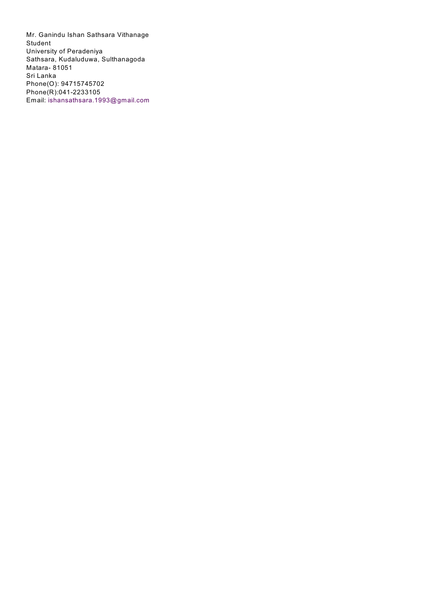Mr. Ganindu Ishan Sathsara Vithanage Student University of Peradeniya Sathsara, Kudaluduwa, Sulthanagoda Matara- 81051 Sri Lanka Phone(O): 94715745702 Phone(R):041-2233105 Email: ishansathsara.1993@gmail.com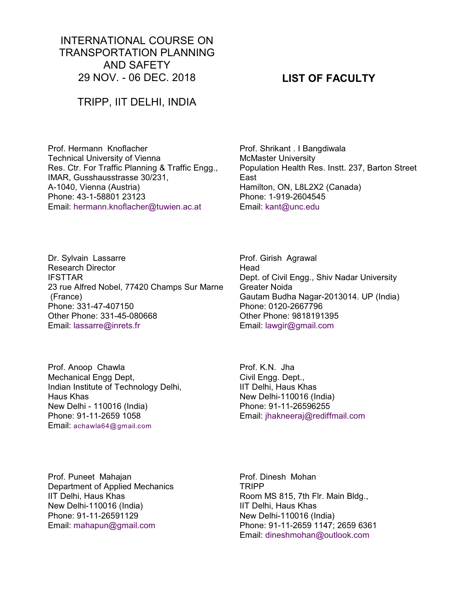# INTERNATIONAL COURSE ON TRANSPORTATION PLANNING AND SAFETY 29 NOV. - 06 DEC. 2018

## TRIPP, IIT DELHI, INDIA

Prof. Hermann Knoflacher Technical University of Vienna Res. Ctr. For Traffic Planning & Traffic Engg., IMAR, Gusshausstrasse 30/231, A-1040, Vienna (Austria) Phone: 43-1-58801 23123 Email: hermann.knoflacher@tuwien.ac.at

Prof. Shrikant . I Bangdiwala McMaster University Population Health Res. Instt. 237, Barton Street East Hamilton, ON, L8L2X2 (Canada) Phone: 1-919-2604545 Email: kant@unc.edu

Dr. Sylvain Lassarre Research Director IFSTTAR 23 rue Alfred Nobel, 77420 Champs Sur Marne (France) Phone: 331-47-407150 Other Phone: 331-45-080668 Email: lassarre@inrets.fr

Prof. Anoop Chawla Mechanical Engg Dept, Indian Institute of Technology Delhi, Haus Khas New Delhi - 110016 (India) Phone: 91-11-2659 1058 Email: achawla64@gmail.com

Prof. Girish Agrawal Head Dept. of Civil Engg., Shiv Nadar University Greater Noida Gautam Budha Nagar-2013014. UP (India) Phone: 0120-2667796 Other Phone: 9818191395 Email: lawgir@gmail.com

Prof. K.N. Jha Civil Engg. Dept., IIT Delhi, Haus Khas New Delhi-110016 (India) Phone: 91-11-26596255 Email: jhakneeraj@rediffmail.com

Prof. Puneet Mahajan Department of Applied Mechanics IIT Delhi, Haus Khas New Delhi-110016 (India) Phone: 91-11-26591129 Email: mahapun@gmail.com

Prof. Dinesh Mohan TRIPP Room MS 815, 7th Flr. Main Bldg., IIT Delhi, Haus Khas New Delhi-110016 (India) Phone: 91-11-2659 1147; 2659 6361 Email: dineshmohan@outlook.com

# **LIST OF FACULTY**